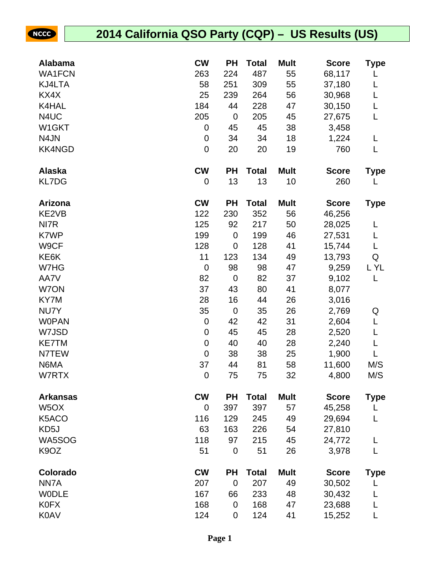NCCC

| <b>Alabama</b>    | <b>CW</b>        | <b>PH</b>   | <b>Total</b> | <b>Mult</b> | <b>Score</b> | Type        |
|-------------------|------------------|-------------|--------------|-------------|--------------|-------------|
| <b>WA1FCN</b>     | 263              | 224         | 487          | 55          | 68,117       |             |
| KJ4LTA            | 58               | 251         | 309          | 55          | 37,180       | L           |
| KX4X              | 25               | 239         | 264          | 56          | 30,968       | L           |
| K4HAL             | 184              | 44          | 228          | 47          | 30,150       | L           |
| N4UC              | 205              | $\mathbf 0$ | 205          | 45          | 27,675       | L           |
| W1GKT             | 0                | 45          | 45           | 38          | 3,458        |             |
| N4JN              | 0                | 34          | 34           | 18          | 1,224        | L           |
| <b>KK4NGD</b>     | $\mathbf 0$      | 20          | 20           | 19          | 760          | L           |
| <b>Alaska</b>     | <b>CW</b>        | <b>PH</b>   | <b>Total</b> | <b>Mult</b> | <b>Score</b> | <b>Type</b> |
| <b>KL7DG</b>      | 0                | 13          | 13           | 10          | 260          |             |
| Arizona           | <b>CW</b>        | <b>PH</b>   | <b>Total</b> | <b>Mult</b> | <b>Score</b> | <b>Type</b> |
| KE2VB             | 122              | 230         | 352          | 56          | 46,256       |             |
| NI7R              | 125              | 92          | 217          | 50          | 28,025       | L           |
| K7WP              | 199              | $\mathbf 0$ | 199          | 46          | 27,531       | L           |
| W9CF              | 128              | $\mathbf 0$ | 128          | 41          | 15,744       | L           |
| KE6K              | 11               | 123         | 134          | 49          | 13,793       | Q           |
| W7HG              | $\boldsymbol{0}$ | 98          | 98           | 47          | 9,259        | L YL        |
| AA7V              | 82               | $\mathbf 0$ | 82           | 37          | 9,102        | L           |
| W7ON              | 37               | 43          | 80           | 41          | 8,077        |             |
| KY7M              | 28               | 16          | 44           | 26          | 3,016        |             |
| NU7Y              | 35               | $\mathbf 0$ | 35           | 26          | 2,769        | Q           |
| <b>WOPAN</b>      | 0                | 42          | 42           | 31          | 2,604        | L           |
| W7JSD             | 0                | 45          | 45           | 28          | 2,520        | L           |
| <b>KE7TM</b>      | $\pmb{0}$        | 40          | 40           | 28          | 2,240        | L           |
| N7TEW             | $\mathbf 0$      | 38          | 38           | 25          | 1,900        | L           |
| N6MA              | 37               | 44          | 81           | 58          | 11,600       | M/S         |
| W7RTX             | 0                | 75          | 75           | 32          | 4,800        | M/S         |
| <b>Arkansas</b>   | <b>CW</b>        | <b>PH</b>   | <b>Total</b> | <b>Mult</b> | <b>Score</b> | Type        |
| W <sub>5</sub> OX | 0                | 397         | 397          | 57          | 45,258       | L           |
| K5ACO             | 116              | 129         | 245          | 49          | 29,694       | L           |
| KD5J              | 63               | 163         | 226          | 54          | 27,810       |             |
| WA5SOG            | 118              | 97          | 215          | 45          | 24,772       | L           |
| K <sub>9</sub> OZ | 51               | $\mathbf 0$ | 51           | 26          | 3,978        | L           |
| Colorado          | <b>CW</b>        | <b>PH</b>   | <b>Total</b> | <b>Mult</b> | <b>Score</b> | <b>Type</b> |
| NN7A              | 207              | $\mathbf 0$ | 207          | 49          | 30,502       | L           |
| <b>WODLE</b>      | 167              | 66          | 233          | 48          | 30,432       |             |
| <b>K0FX</b>       | 168              | 0           | 168          | 47          | 23,688       | L           |
| <b>K0AV</b>       | 124              | 0           | 124          | 41          | 15,252       |             |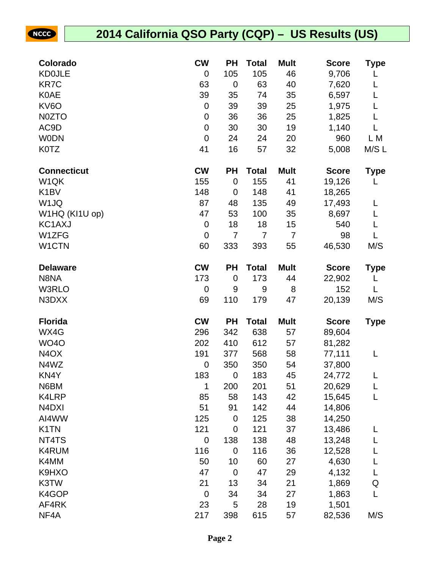| Colorado                       | <b>CW</b>        | <b>PH</b>   | <b>Total</b> | <b>Mult</b>    | <b>Score</b> | Type        |
|--------------------------------|------------------|-------------|--------------|----------------|--------------|-------------|
| <b>KD0JLE</b>                  | 0                | 105         | 105          | 46             | 9,706        |             |
| <b>KR7C</b>                    | 63               | $\mathbf 0$ | 63           | 40             | 7,620        | L           |
| <b>K0AE</b>                    | 39               | 35          | 74           | 35             | 6,597        | L           |
| KV6O                           | 0                | 39          | 39           | 25             | 1,975        | L           |
| N0ZTO                          | 0                | 36          | 36           | 25             | 1,825        | L           |
| AC9D                           | $\boldsymbol{0}$ | 30          | 30           | 19             | 1,140        |             |
| <b>WODN</b>                    | $\boldsymbol{0}$ | 24          | 24           | 20             | 960          | L M         |
| <b>K0TZ</b>                    | 41               | 16          | 57           | 32             | 5,008        | M/S L       |
| <b>Connecticut</b>             | <b>CW</b>        | PH          | <b>Total</b> | <b>Mult</b>    | <b>Score</b> | Type        |
| W <sub>1</sub> QK              | 155              | $\mathbf 0$ | 155          | 41             | 19,126       | L           |
| K <sub>1</sub> BV              | 148              | 0           | 148          | 41             | 18,265       |             |
| W <sub>1JQ</sub>               | 87               | 48          | 135          | 49             | 17,493       | L           |
| W1HQ (KI1U op)                 | 47               | 53          | 100          | 35             | 8,697        | L           |
| KC1AXJ                         | $\pmb{0}$        | 18          | 18           | 15             | 540          | L           |
| W1ZFG                          | 0                | 7           | 7            | $\overline{7}$ | 98           | L           |
| W1CTN                          | 60               | 333         | 393          | 55             | 46,530       | M/S         |
| <b>Delaware</b>                | <b>CW</b>        | PH          | <b>Total</b> | <b>Mult</b>    | <b>Score</b> | <b>Type</b> |
| N8NA                           | 173              | $\mathbf 0$ | 173          | 44             | 22,902       | L           |
| W3RLO                          | $\boldsymbol{0}$ | 9           | 9            | 8              | 152          | L           |
| N3DXX                          | 69               | 110         | 179          | 47             | 20,139       | M/S         |
| <b>Florida</b>                 | <b>CW</b>        | PH          | <b>Total</b> | <b>Mult</b>    | <b>Score</b> | <b>Type</b> |
| WX4G                           | 296              | 342         | 638          | 57             | 89,604       |             |
| <b>WO4O</b>                    | 202              | 410         | 612          | 57             | 81,282       |             |
| N <sub>4</sub> O <sub>X</sub>  | 191              | 377         | 568          | 58             | 77,111       | L           |
| N4WZ                           | 0                | 350         | 350          | 54             | 37,800       |             |
| KN4Y                           | 183              | $\mathbf 0$ | 183          | 45             | 24,772       | L           |
| N6BM                           | 1                | 200         | 201          | 51             | 20,629       | L           |
| K4LRP                          | 85               | 58          | 143          | 42             | 15,645       | L           |
| N <sub>4</sub> D <sub>XI</sub> | 51               | 91          | 142          | 44             | 14,806       |             |
| AI4WW                          | 125              | $\mathbf 0$ | 125          | 38             | 14,250       |             |
| K <sub>1</sub> TN              | 121              | 0           | 121          | 37             | 13,486       | L           |
| NT4TS                          | $\mathbf 0$      | 138         | 138          | 48             | 13,248       | L           |
| K4RUM                          | 116              | $\mathbf 0$ | 116          | 36             | 12,528       |             |
| K4MM                           | 50               | 10          | 60           | 27             | 4,630        | L           |
| K9HXO                          | 47               | $\mathbf 0$ | 47           | 29             | 4,132        | L           |
| K3TW                           | 21               | 13          | 34           | 21             | 1,869        | Q           |
| K4GOP                          | $\boldsymbol{0}$ | 34          | 34           | 27             | 1,863        | L           |
| AF4RK                          | 23               | 5           | 28           | 19             | 1,501        |             |
| NF4A                           | 217              | 398         | 615          | 57             | 82,536       | M/S         |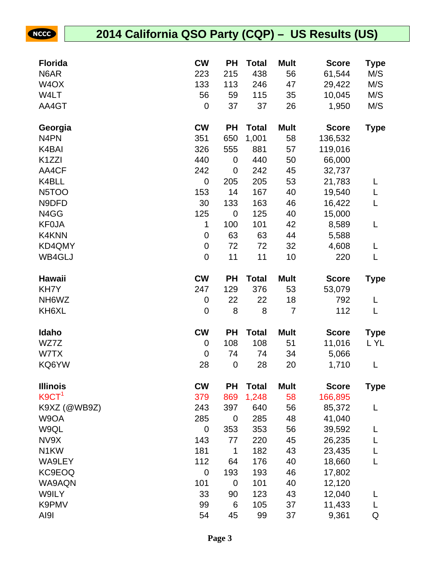NCCC

| <b>Florida</b>     | <b>CW</b>        | <b>PH</b>       | <b>Total</b> | <b>Mult</b>          | <b>Score</b>    | Type        |
|--------------------|------------------|-----------------|--------------|----------------------|-----------------|-------------|
| N6AR               | 223              | 215             | 438          | 56                   | 61,544          | M/S         |
| W <sub>4</sub> OX  | 133              | 113             | 246          | 47                   | 29,422          | M/S         |
| W4LT               | 56               | 59              | 115          | 35                   | 10,045          | M/S         |
| AA4GT              | 0                | 37              | 37           | 26                   | 1,950           | M/S         |
|                    |                  |                 |              |                      |                 |             |
| Georgia            | <b>CW</b>        | <b>PH</b>       | <b>Total</b> | <b>Mult</b>          | <b>Score</b>    | <b>Type</b> |
| N <sub>4</sub> PN  | 351              | 650             | 1,001        | 58                   | 136,532         |             |
| K4BAI              | 326              | 555             | 881          | 57                   | 119,016         |             |
| K <sub>1</sub> ZZI | 440              | 0               | 440          | 50                   | 66,000          |             |
| AA4CF              | 242              | 0               | 242          | 45                   | 32,737          |             |
| K4BLL              | $\overline{0}$   | 205             | 205          | 53                   | 21,783          | L           |
| N <sub>5</sub> TOO | 153              | 14              | 167          | 40                   | 19,540          | L           |
| N9DFD              | 30               | 133             | 163          | 46                   | 16,422          | L           |
| N4GG               | 125              | $\mathbf 0$     | 125          | 40                   | 15,000          |             |
| <b>KF0JA</b>       | 1                | 100             | 101          | 42                   | 8,589           | L           |
| K4KNN              | 0                | 63              | 63           | 44                   | 5,588           |             |
| KD4QMY             | $\pmb{0}$        | 72              | 72           | 32                   | 4,608           | L           |
| WB4GLJ             | $\boldsymbol{0}$ | 11              | 11           | 10                   | 220             | L           |
| Hawaii             | <b>CW</b>        | <b>PH</b>       | <b>Total</b> | <b>Mult</b>          | <b>Score</b>    | <b>Type</b> |
| KH7Y               | 247              | 129             | 376          | 53                   | 53,079          |             |
|                    |                  |                 |              |                      |                 |             |
| NH <sub>6</sub> WZ | 0                | 22              | 22           |                      | 792             |             |
| KH6XL              | 0                | 8               | 8            | 18<br>$\overline{7}$ | 112             | L<br>L      |
|                    |                  |                 |              |                      |                 |             |
| Idaho              | <b>CW</b>        | <b>PH</b>       | <b>Total</b> | <b>Mult</b>          | <b>Score</b>    | <b>Type</b> |
| WZ7Z               | 0                | 108             | 108          | 51                   | 11,016          | L YL        |
| W7TX<br>KQ6YW      | 0<br>28          | 74<br>$\pmb{0}$ | 74<br>28     | 34<br>20             | 5,066<br>1,710  | L           |
|                    |                  |                 |              |                      |                 |             |
| <b>Illinois</b>    | <b>CW</b>        | <b>PH</b>       | <b>Total</b> | <b>Mult</b>          | <b>Score</b>    | Type        |
| K9CT <sup>1</sup>  | 379              | 869             | 1,248        | 58                   | 166,895         |             |
| K9XZ (@WB9Z)       | 243              | 397             | 640          | 56                   | 85,372          | L           |
| W9OA               | 285              | $\mathbf 0$     | 285          | 48                   | 41,040          |             |
| W9QL               | 0                | 353             | 353          | 56                   | 39,592          | L           |
| NV9X               | 143              | 77              | 220          | 45                   | 26,235          | L           |
| N <sub>1</sub> KW  | 181              | 1               | 182          | 43                   | 23,435          | L           |
| WA9LEY             | 112              | 64              | 176          | 40                   | 18,660          | L           |
| KC9EOQ             | $\mathbf 0$      | 193             | 193          | 46                   | 17,802          |             |
| WA9AQN             | 101              | 0               | 101          | 40                   | 12,120          |             |
| W9ILY              | 33               | 90              | 123          | 43                   | 12,040          | L           |
| K9PMV<br>AI9I      | 99<br>54         | 6<br>45         | 105<br>99    | 37<br>37             | 11,433<br>9,361 | L<br>Q      |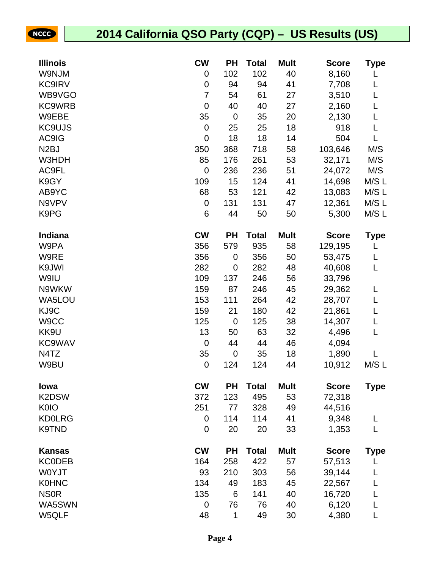NCCC

| <b>Illinois</b>   | <b>CW</b>        | <b>PH</b>   | <b>Total</b> | <b>Mult</b> | <b>Score</b> | <b>Type</b> |
|-------------------|------------------|-------------|--------------|-------------|--------------|-------------|
| W9NJM             | 0                | 102         | 102          | 40          | 8,160        |             |
| <b>KC9IRV</b>     | 0                | 94          | 94           | 41          | 7,708        | L           |
| WB9VGO            | 7                | 54          | 61           | 27          | 3,510        |             |
| <b>KC9WRB</b>     | $\mathbf 0$      | 40          | 40           | 27          | 2,160        | L           |
| W9EBE             | 35               | $\mathbf 0$ | 35           | 20          | 2,130        |             |
| <b>KC9UJS</b>     | $\boldsymbol{0}$ | 25          | 25           | 18          | 918          | L           |
| AC9IG             | $\mathbf 0$      | 18          | 18           | 14          | 504          | L           |
| N <sub>2</sub> BJ | 350              | 368         | 718          | 58          | 103,646      | M/S         |
| W3HDH             | 85               | 176         | 261          | 53          | 32,171       | M/S         |
| AC9FL             | $\boldsymbol{0}$ | 236         | 236          | 51          | 24,072       | M/S         |
| K9GY              | 109              | 15          | 124          | 41          | 14,698       | M/S L       |
| AB9YC             | 68               | 53          | 121          | 42          | 13,083       | M/S L       |
| N9VPV             | $\pmb{0}$        | 131         | 131          | 47          | 12,361       | M/S L       |
| K9PG              | 6                | 44          | 50           | 50          | 5,300        | M/S L       |
| <b>Indiana</b>    | <b>CW</b>        | <b>PH</b>   | <b>Total</b> | <b>Mult</b> | <b>Score</b> | <b>Type</b> |
| W9PA              | 356              | 579         | 935          | 58          | 129,195      | L           |
| W9RE              | 356              | 0           | 356          | 50          | 53,475       | L           |
| K9JWI             | 282              | $\mathbf 0$ | 282          | 48          | 40,608       | L           |
| W9IU              | 109              | 137         | 246          | 56          | 33,796       |             |
| N9WKW             | 159              | 87          | 246          | 45          | 29,362       | L           |
| WA5LOU            | 153              | 111         | 264          | 42          | 28,707       | L           |
| KJ9C              | 159              | 21          | 180          | 42          | 21,861       |             |
| W9CC              | 125              | $\mathbf 0$ | 125          | 38          | 14,307       | L           |
| KK9U              | 13               | 50          | 63           | 32          | 4,496        | L           |
| <b>KC9WAV</b>     | $\mathbf 0$      | 44          | 44           | 46          | 4,094        |             |
| N4TZ              | 35               | $\pmb{0}$   | 35           | 18          | 1,890        |             |
| W9BU              | 0                | 124         | 124          | 44          | 10,912       | M/S L       |
| lowa              | <b>CW</b>        | <b>PH</b>   | <b>Total</b> | <b>Mult</b> | <b>Score</b> | <b>Type</b> |
| K2DSW             | 372              | 123         | 495          | 53          | 72,318       |             |
| <b>K0IO</b>       | 251              | 77          | 328          | 49          | 44,516       |             |
| <b>KD0LRG</b>     | 0                | 114         | 114          | 41          | 9,348        | L           |
| K9TND             | 0                | 20          | 20           | 33          | 1,353        | L           |
| <b>Kansas</b>     | <b>CW</b>        | <b>PH</b>   | <b>Total</b> | <b>Mult</b> | <b>Score</b> | <b>Type</b> |
| <b>KC0DEB</b>     | 164              | 258         | 422          | 57          | 57,513       |             |
| W0YJT             | 93               | 210         | 303          | 56          | 39,144       | L           |
| <b>K0HNC</b>      | 134              | 49          | 183          | 45          | 22,567       | L           |
| <b>NSOR</b>       | 135              | 6           | 141          | 40          | 16,720       | L           |
| WA5SWN            | 0                | 76          | 76           | 40          | 6,120        | L           |
| W5QLF             | 48               | 1           | 49           | 30          | 4,380        | L           |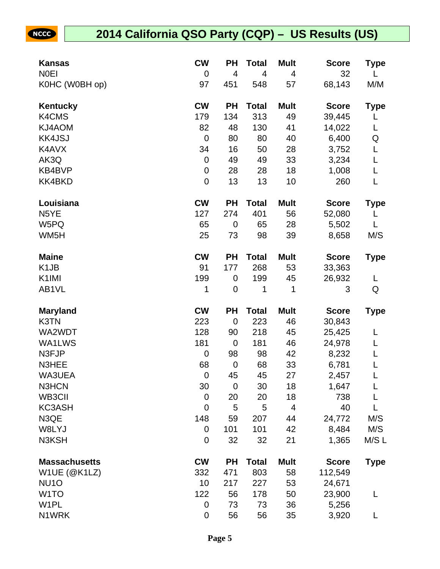| Kansas               | <b>CW</b>        | <b>PH</b>      | Total        | <b>Mult</b> | <b>Score</b> | Type        |
|----------------------|------------------|----------------|--------------|-------------|--------------|-------------|
| <b>NOEI</b>          | $\mathbf 0$      | $\overline{4}$ | 4            | 4           | 32           |             |
| K0HC (W0BH op)       | 97               | 451            | 548          | 57          | 68,143       | M/M         |
| Kentucky             | <b>CW</b>        | <b>PH</b>      | <b>Total</b> | <b>Mult</b> | <b>Score</b> | <b>Type</b> |
| K4CMS                | 179              | 134            | 313          | 49          | 39,445       | L           |
| KJ4AOM               | 82               | 48             | 130          | 41          | 14,022       | L           |
| <b>KK4JSJ</b>        | $\mathbf 0$      | 80             | 80           | 40          | 6,400        | Q           |
| K4AVX                | 34               | 16             | 50           | 28          | 3,752        | L           |
| AK3Q                 | $\mathbf 0$      | 49             | 49           | 33          | 3,234        | L           |
| KB4BVP               | $\boldsymbol{0}$ | 28             | 28           | 18          | 1,008        | L           |
| KK4BKD               | $\mathbf 0$      | 13             | 13           | 10          | 260          | L           |
| Louisiana            | <b>CW</b>        | <b>PH</b>      | <b>Total</b> | <b>Mult</b> | <b>Score</b> | <b>Type</b> |
| N <sub>5</sub> YE    | 127              | 274            | 401          | 56          | 52,080       | L           |
| W5PQ                 | 65               | $\mathbf 0$    | 65           | 28          | 5,502        | L           |
| WM <sub>5</sub> H    | 25               | 73             | 98           | 39          | 8,658        | M/S         |
| <b>Maine</b>         | <b>CW</b>        | <b>PH</b>      | <b>Total</b> | <b>Mult</b> | <b>Score</b> | <b>Type</b> |
| K <sub>1</sub> JB    | 91               | 177            | 268          | 53          | 33,363       |             |
| K <sub>1</sub> IMI   | 199              | 0              | 199          | 45          | 26,932       | L           |
| AB1VL                | 1                | $\mathbf 0$    | 1            | 1           | 3            | Q           |
| <b>Maryland</b>      | <b>CW</b>        | <b>PH</b>      | <b>Total</b> | <b>Mult</b> | <b>Score</b> | <b>Type</b> |
| K3TN                 | 223              | $\mathbf 0$    | 223          | 46          | 30,843       |             |
| WA2WDT               | 128              | 90             | 218          | 45          | 25,425       |             |
| WA1LWS               | 181              | $\mathbf 0$    | 181          | 46          | 24,978       | L           |
| N3FJP                | $\mathbf 0$      | 98             | 98           | 42          | 8,232        |             |
| N3HEE                | 68               | $\mathbf 0$    | 68           | 33          | 6,781        | L           |
| WA3UEA               | $\mathbf 0$      | 45             | 45           | 27          | 2,457        |             |
| N3HCN                | 30               | $\mathbf 0$    | 30           | 18          | 1,647        | L           |
| WB3CII               | $\mathbf 0$      | 20             | 20           | 18          | 738          |             |
| <b>KC3ASH</b>        | $\mathbf 0$      | 5              | 5            | 4           | 40           |             |
| N3QE                 | 148              | 59             | 207          | 44          | 24,772       | M/S         |
| W8LYJ                | $\mathbf 0$      | 101            | 101          | 42          | 8,484        | M/S         |
| N3KSH                | $\mathbf 0$      | 32             | 32           | 21          | 1,365        | M/S L       |
| <b>Massachusetts</b> | <b>CW</b>        | <b>PH</b>      | <b>Total</b> | <b>Mult</b> | <b>Score</b> | <b>Type</b> |
| W1UE (@K1LZ)         | 332              | 471            | 803          | 58          | 112,549      |             |
| NU <sub>10</sub>     | 10               | 217            | 227          | 53          | 24,671       |             |
| W <sub>1</sub> TO    | 122              | 56             | 178          | 50          | 23,900       | L           |
| W <sub>1</sub> PL    | $\mathbf 0$      | 73             | 73           | 36          | 5,256        |             |
| N1WRK                | $\boldsymbol{0}$ | 56             | 56           | 35          | 3,920        | L           |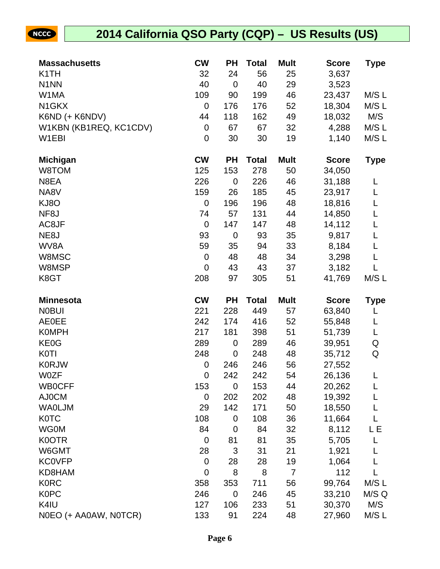

| <b>Massachusetts</b>          | <b>CW</b>        | <b>PH</b>   | <b>Total</b> | <b>Mult</b>    | <b>Score</b>     | <b>Type</b>  |
|-------------------------------|------------------|-------------|--------------|----------------|------------------|--------------|
| K <sub>1</sub> TH             | 32               | 24          | 56           | 25             | 3,637            |              |
| N <sub>1</sub> N <sub>N</sub> | 40               | $\mathbf 0$ | 40           | 29             | 3,523            |              |
| W1MA                          | 109              | 90          | 199          | 46             | 23,437           | M/S L        |
| N <sub>1</sub> GKX            | $\mathbf 0$      | 176         | 176          | 52             | 18,304           | M/SL         |
| K6ND (+ K6NDV)                | 44               | 118         | 162          | 49             | 18,032           | M/S          |
| W1KBN (KB1REQ, KC1CDV)        | $\boldsymbol{0}$ | 67          | 67           | 32             | 4,288            | M/S L        |
| W1EBI                         | $\mathbf 0$      | 30          | 30           | 19             | 1,140            | M/S L        |
| <b>Michigan</b>               | <b>CW</b>        | <b>PH</b>   | <b>Total</b> | <b>Mult</b>    | <b>Score</b>     | <b>Type</b>  |
| W8TOM                         | 125              | 153         | 278          | 50             | 34,050           |              |
| N8EA                          | 226              | $\mathbf 0$ | 226          | 46             | 31,188           | L            |
| NA8V                          | 159              | 26          | 185          | 45             | 23,917           | L            |
| KJ8O                          | $\mathbf 0$      | 196         | 196          | 48             | 18,816           | L            |
| NF <sub>8</sub> J             | 74               | 57          | 131          | 44             | 14,850           | L            |
| AC8JF                         | $\mathbf 0$      | 147         | 147          | 48             | 14,112           | L            |
| NE8J                          | 93               | $\mathbf 0$ | 93           | 35             | 9,817            | L            |
| WV8A                          | 59               | 35          | 94           | 33             | 8,184            | L            |
| W8MSC                         | $\boldsymbol{0}$ | 48          | 48           | 34             | 3,298            | L            |
| W8MSP                         | $\mathbf 0$      | 43          | 43           | 37             | 3,182            | L            |
| K8GT                          | 208              | 97          | 305          | 51             | 41,769           | M/S L        |
|                               |                  |             |              |                |                  |              |
| <b>Minnesota</b>              | <b>CW</b>        | <b>PH</b>   | <b>Total</b> | <b>Mult</b>    | <b>Score</b>     | <b>Type</b>  |
| <b>NOBUI</b>                  | 221              | 228         | 449          | 57             | 63,840           | L            |
| <b>AE0EE</b>                  | 242              | 174         | 416          | 52             | 55,848           | L            |
| <b>K0MPH</b>                  | 217              | 181         | 398          | 51             | 51,739           | L            |
| KE0G                          | 289              | 0           | 289          | 46             | 39,951           | Q            |
| <b>K0TI</b>                   | 248              | $\mathbf 0$ | 248          | 48             | 35,712           | Q            |
| <b>K0RJW</b>                  | 0                | 246         | 246          | 56             | 27,552           |              |
| <b>W0ZF</b>                   | $\mathbf 0$      | 242         | 242          | 54             | 26,136           | L            |
| <b>WB0CFF</b>                 | 153              | 0           | 153          | 44             | 20,262           | L            |
| AJ0CM                         | $\mathbf 0$      | 202         | 202          | 48             | 19,392           |              |
| <b>WAOLJM</b>                 | 29               | 142         | 171          | 50             | 18,550           |              |
| <b>K0TC</b>                   | 108              | 0           | 108          | 36             | 11,664           |              |
| <b>WG0M</b>                   | 84               | 0           | 84           | 32             | 8,112            | LΕ           |
| K0OTR                         | $\mathbf 0$      | 81          | 81           | 35             | 5,705            |              |
| W6GMT                         | 28               | 3           | 31           | 21             | 1,921            | L            |
| <b>KC0VFP</b>                 | $\mathbf 0$      | 28          | 28           | 19             | 1,064            |              |
| KD8HAM                        | 0                | 8           | 8            | $\overline{7}$ | 112              |              |
| <b>K0RC</b>                   | 358              | 353         | 711          | 56             | 99,764           | M/S L        |
| <b>K0PC</b>                   | 246              | 0           | 246          | 45             | 33,210           | M/S Q        |
| K4IU<br>NOEO (+ AA0AW, NOTCR) | 127<br>133       | 106<br>91   | 233<br>224   | 51<br>48       | 30,370<br>27,960 | M/S<br>M/S L |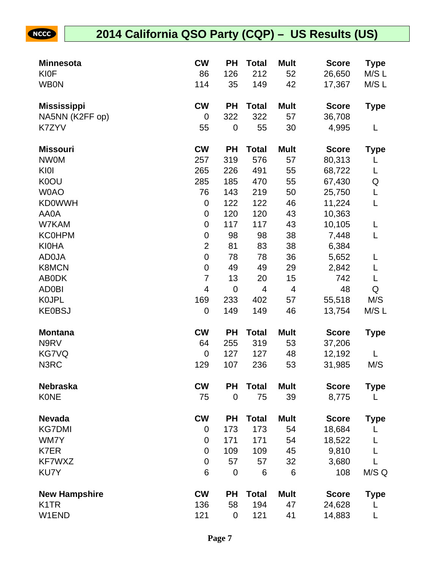| <b>Minnesota</b>     | <b>CW</b>      | <b>PH</b>   | <b>Total</b>            | <b>Mult</b>    | <b>Score</b> | <b>Type</b> |
|----------------------|----------------|-------------|-------------------------|----------------|--------------|-------------|
| <b>KI0F</b>          | 86             | 126         | 212                     | 52             | 26,650       | M/S L       |
| <b>WB0N</b>          | 114            | 35          | 149                     | 42             | 17,367       | M/S L       |
| <b>Mississippi</b>   | <b>CW</b>      | <b>PH</b>   | <b>Total</b>            | <b>Mult</b>    | <b>Score</b> | <b>Type</b> |
| NA5NN (K2FF op)      | 0              | 322         | 322                     | 57             | 36,708       |             |
| K7ZYV                | 55             | $\mathbf 0$ | 55                      | 30             | 4,995        | L           |
| <b>Missouri</b>      | <b>CW</b>      | <b>PH</b>   | <b>Total</b>            | <b>Mult</b>    | <b>Score</b> | <b>Type</b> |
| <b>NWOM</b>          | 257            | 319         | 576                     | 57             | 80,313       | L           |
| KI0I                 | 265            | 226         | 491                     | 55             | 68,722       | L           |
| K0OU                 | 285            | 185         | 470                     | 55             | 67,430       | Q           |
| <b>WOAO</b>          | 76             | 143         | 219                     | 50             | 25,750       | L           |
| <b>KD0WWH</b>        | 0              | 122         | 122                     | 46             | 11,224       | L           |
| AA0A                 | 0              | 120         | 120                     | 43             | 10,363       |             |
| W7KAM                | 0              | 117         | 117                     | 43             | 10,105       | L           |
| <b>KC0HPM</b>        | 0              | 98          | 98                      | 38             | 7,448        | L           |
| <b>KI0HA</b>         | $\overline{2}$ | 81          | 83                      | 38             | 6,384        |             |
| <b>AD0JA</b>         | 0              | 78          | 78                      | 36             | 5,652        | L           |
| <b>K8MCN</b>         | 0              | 49          | 49                      | 29             | 2,842        | L           |
| <b>ABODK</b>         | $\overline{7}$ | 13          | 20                      | 15             | 742          | L           |
| <b>AD0BI</b>         | 4              | $\mathbf 0$ | $\overline{\mathbf{4}}$ | $\overline{4}$ | 48           | Q           |
| <b>KOJPL</b>         | 169            | 233         | 402                     | 57             | 55,518       | M/S         |
| <b>KE0BSJ</b>        | 0              | 149         | 149                     | 46             | 13,754       | M/S L       |
| <b>Montana</b>       | <b>CW</b>      | <b>PH</b>   | <b>Total</b>            | <b>Mult</b>    | <b>Score</b> | <b>Type</b> |
| N9RV                 | 64             | 255         | 319                     | 53             | 37,206       |             |
| <b>KG7VQ</b>         | 0              | 127         | 127                     | 48             | 12,192       |             |
| N3RC                 | 129            | 107         | 236                     | 53             | 31,985       | M/S         |
| <b>Nebraska</b>      | <b>CW</b>      | PH          | <b>Total</b>            | <b>Mult</b>    | <b>Score</b> | <b>Type</b> |
| <b>KONE</b>          | 75             | $\mathbf 0$ | 75                      | 39             | 8,775        | L           |
| <b>Nevada</b>        | <b>CW</b>      | <b>PH</b>   | <b>Total</b>            | <b>Mult</b>    | <b>Score</b> | <b>Type</b> |
| <b>KG7DMI</b>        | 0              | 173         | 173                     | 54             | 18,684       |             |
| WM7Y                 | 0              | 171         | 171                     | 54             | 18,522       |             |
| K7ER                 | 0              | 109         | 109                     | 45             | 9,810        |             |
| KF7WXZ               | 0              | 57          | 57                      | 32             | 3,680        |             |
| KU7Y                 | 6              | $\mathbf 0$ | 6                       | 6              | 108          | M/S Q       |
| <b>New Hampshire</b> | <b>CW</b>      | <b>PH</b>   | <b>Total</b>            | <b>Mult</b>    | <b>Score</b> | <b>Type</b> |
| K <sub>1</sub> TR    | 136            | 58          | 194                     | 47             | 24,628       |             |
| W1END                | 121            | $\pmb{0}$   | 121                     | 41             | 14,883       | L           |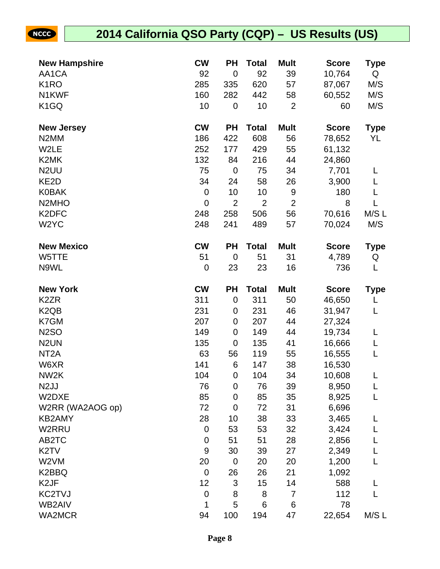| <b>New Hampshire</b>           | <b>CW</b>        | ΡH             | <b>Total</b>   | <b>Mult</b>    | <b>Score</b> | Type        |
|--------------------------------|------------------|----------------|----------------|----------------|--------------|-------------|
| AA1CA                          | 92               | $\mathbf 0$    | 92             | 39             | 10,764       | Q           |
| K <sub>1</sub> RO              | 285              | 335            | 620            | 57             | 87,067       | M/S         |
| N1KWF                          | 160              | 282            | 442            | 58             | 60,552       | M/S         |
| K <sub>1</sub> GQ              | 10               | $\mathbf 0$    | 10             | $\overline{2}$ | 60           | M/S         |
|                                |                  |                |                |                |              |             |
| <b>New Jersey</b>              | <b>CW</b>        | <b>PH</b>      | <b>Total</b>   | <b>Mult</b>    | <b>Score</b> | <b>Type</b> |
| N <sub>2</sub> MM              | 186              | 422            | 608            | 56             | 78,652       | YL          |
| W2LE                           | 252              | 177            | 429            | 55             | 61,132       |             |
| K2MK                           | 132              | 84             | 216            | 44             | 24,860       |             |
| N <sub>2</sub> UU              | 75               | $\mathbf 0$    | 75             | 34             | 7,701        | L           |
| KE2D                           | 34               | 24             | 58             | 26             | 3,900        |             |
| <b>K0BAK</b>                   | $\boldsymbol{0}$ | 10             | 10             | 9              | 180          | L           |
| N <sub>2</sub> MH <sub>O</sub> | $\mathbf 0$      | $\overline{2}$ | $\overline{2}$ | $\overline{2}$ | 8            | L           |
| K2DFC                          | 248              | 258            | 506            | 56             | 70,616       | M/S L       |
| W <sub>2</sub> YC              | 248              | 241            | 489            | 57             | 70,024       | M/S         |
| <b>New Mexico</b>              | <b>CW</b>        | PH             | <b>Total</b>   | <b>Mult</b>    | <b>Score</b> | <b>Type</b> |
| W5TTE                          | 51               | $\mathbf 0$    | 51             | 31             | 4,789        | Q           |
| N9WL                           | $\boldsymbol{0}$ | 23             | 23             | 16             | 736          | L           |
| <b>New York</b>                | <b>CW</b>        | PH             | <b>Total</b>   | <b>Mult</b>    | <b>Score</b> | <b>Type</b> |
| K <sub>2</sub> ZR              | 311              | $\mathbf 0$    | 311            | 50             | 46,650       | L           |
| K <sub>2</sub> Q <sub>B</sub>  | 231              | 0              | 231            | 46             | 31,947       | L           |
| K7GM                           | 207              | 0              | 207            | 44             | 27,324       |             |
| <b>N2SO</b>                    | 149              | $\mathbf 0$    | 149            | 44             | 19,734       | L           |
| N <sub>2</sub> UN              | 135              | $\mathbf 0$    | 135            | 41             | 16,666       | L           |
| NT <sub>2</sub> A              | 63               | 56             | 119            | 55             | 16,555       | L           |
| W6XR                           | 141              | 6              | 147            | 38             | 16,530       |             |
| NW <sub>2</sub> K              | 104              | $\mathbf 0$    | 104            | 34             | 10,608       | L           |
| N <sub>2</sub> JJ              | 76               | 0              | 76             | 39             | 8,950        | L           |
| W2DXE                          | 85               | $\mathbf 0$    | 85             | 35             | 8,925        | L           |
| W2RR (WA2AOG op)               | 72               | 0              | 72             | 31             | 6,696        |             |
| KB2AMY                         | 28               | 10             | 38             | 33             | 3,465        | L           |
| W2RRU                          | $\pmb{0}$        | 53             | 53             | 32             | 3,424        |             |
| AB2TC                          | $\pmb{0}$        | 51             | 51             | 28             | 2,856        |             |
| K <sub>2</sub> TV              | 9                | 30             | 39             | 27             | 2,349        |             |
| W2VM                           | 20               | $\mathbf 0$    | 20             | 20             | 1,200        | L           |
| K2BBQ                          | $\mathbf 0$      | 26             | 26             | 21             | 1,092        |             |
| K <sub>2</sub> JF              | 12               | 3              | 15             | 14             | 588          | L           |
| KC2TVJ                         | $\pmb{0}$        | 8              | 8              | 7              | 112          | L           |
| WB2AIV                         | 1                | 5              | 6              | 6              | 78           |             |
| <b>WA2MCR</b>                  | 94               | 100            | 194            | 47             | 22,654       | M/S L       |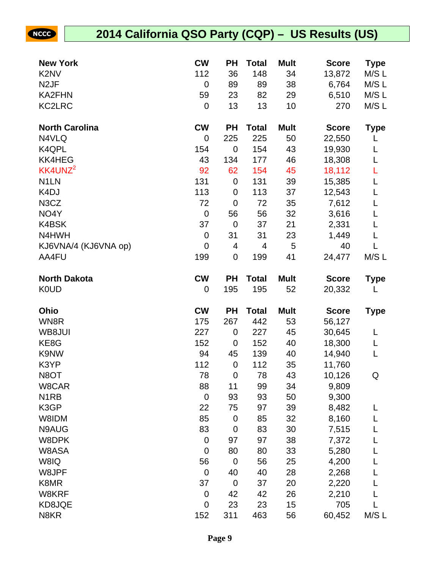| <b>New York</b>               | <b>CW</b>   | РH          | <b>Total</b> | <b>Mult</b> | <b>Score</b>  | <b>Type</b> |
|-------------------------------|-------------|-------------|--------------|-------------|---------------|-------------|
| K <sub>2</sub> N <sub>V</sub> | 112         | 36          | 148          | 34          | 13,872        | M/S L       |
| N <sub>2</sub> JF             | $\mathbf 0$ | 89          | 89           | 38          | 6,764         | M/S L       |
| <b>KA2FHN</b>                 | 59          | 23          | 82           | 29          | 6,510         | M/S L       |
| <b>KC2LRC</b>                 | 0           | 13          | 13           | 10          | 270           | M/S L       |
| <b>North Carolina</b>         | <b>CW</b>   | <b>PH</b>   | <b>Total</b> | <b>Mult</b> | <b>Score</b>  | <b>Type</b> |
| N4VLQ                         | $\mathbf 0$ | 225         | 225          | 50          | 22,550        |             |
| K4QPL                         | 154         | $\mathbf 0$ | 154          | 43          | 19,930        | L           |
| <b>KK4HEG</b>                 | 43          | 134         | 177          | 46          | 18,308        | L           |
| KK4UNZ <sup>2</sup>           | 92          | 62          | 154          | 45          | 18,112        | L           |
| N <sub>1</sub> LN             | 131         | $\mathbf 0$ | 131          | 39          | 15,385        | L           |
| K <sub>4</sub> DJ             | 113         | 0           | 113          | 37          | 12,543        | L           |
| N <sub>3</sub> C <sub>Z</sub> | 72          | $\mathbf 0$ | 72           | 35          | 7,612         | L           |
| NO4Y                          | $\mathbf 0$ | 56          | 56           | 32          | 3,616         | L           |
| K4BSK                         | 37          | $\mathbf 0$ | 37           | 21          | 2,331         | L           |
| N4HWH                         | 0           | 31          | 31           | 23          | 1,449         | L           |
| KJ6VNA/4 (KJ6VNA op)          | $\mathbf 0$ | 4           | 4            | 5           | 40            | L           |
| AA4FU                         | 199         | $\mathbf 0$ | 199          | 41          | 24,477        | M/S L       |
| <b>North Dakota</b>           | <b>CW</b>   | <b>PH</b>   | <b>Total</b> | <b>Mult</b> | <b>Score</b>  | <b>Type</b> |
| <b>K0UD</b>                   | 0           | 195         | 195          | 52          | 20,332        | L           |
|                               |             |             |              |             |               |             |
| Ohio                          | <b>CW</b>   | <b>PH</b>   | <b>Total</b> | <b>Mult</b> | <b>Score</b>  | <b>Type</b> |
| WN8R                          | 175         | 267         | 442          | 53          | 56,127        |             |
| WB8JUI                        | 227         | 0           | 227          | 45          | 30,645        | L           |
| KE8G                          | 152         | 0           | 152          | 40          | 18,300        | L           |
| K9NW                          | 94          | 45          | 139          | 40          | 14,940        | L           |
| K3YP                          | 112         | $\mathbf 0$ | 112          | 35          | 11,760        |             |
| N8OT                          | 78          | $\mathbf 0$ | 78           | 43          | 10,126        | Q           |
| W8CAR                         | 88          | 11          | 99           | 34          | 9,809         |             |
| N <sub>1</sub> RB             | 0           | 93          | 93           | 50          | 9,300         |             |
| K3GP                          | 22          | 75          | 97           | 39          | 8,482         | L           |
| W8IDM                         | 85          | $\mathbf 0$ | 85           | 32          | 8,160         |             |
| N9AUG                         | 83          | 0           | 83           | 30          | 7,515         |             |
| W8DPK                         | 0           | 97          | 97           | 38          | 7,372         |             |
| W8ASA                         | $\mathbf 0$ | 80          | 80           | 33          | 5,280         |             |
| W8IQ                          | 56          | $\mathbf 0$ | 56           | 25          | 4,200         |             |
| W8JPF                         | $\mathbf 0$ | 40          | 40           | 28          | 2,268         |             |
| K8MR                          | 37          | $\mathbf 0$ | 37           | 20          | 2,220         |             |
| W8KRF                         | 0           | 42          | 42           | 26          | 2,210         |             |
| KD8JQE<br>N8KR                | 0<br>152    | 23<br>311   | 23<br>463    | 15<br>56    | 705<br>60,452 | M/S L       |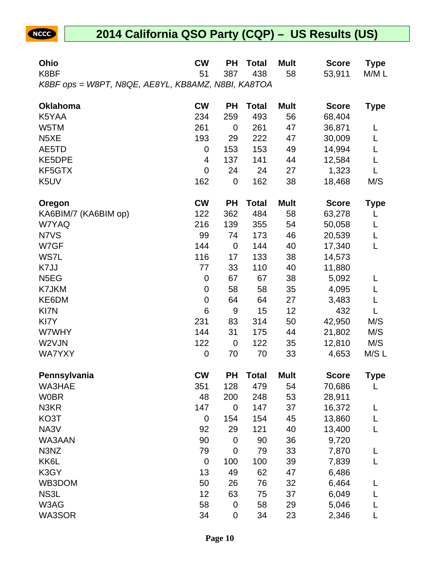| Ohio                                               | <b>CW</b> | <b>PH</b>   | <b>Total</b> | <b>Mult</b> | <b>Score</b> | Type        |
|----------------------------------------------------|-----------|-------------|--------------|-------------|--------------|-------------|
| K8BF                                               | 51        | 387         | 438          | 58          | 53,911       | M/M L       |
| K8BF ops = W8PT, N8QE, AE8YL, KB8AMZ, N8BI, KA8TOA |           |             |              |             |              |             |
| <b>Oklahoma</b>                                    | <b>CW</b> | <b>PH</b>   | <b>Total</b> | <b>Mult</b> | <b>Score</b> | Type        |
| K5YAA                                              | 234       | 259         | 493          | 56          | 68,404       |             |
| W5TM                                               | 261       | 0           | 261          | 47          | 36,871       | L           |
| N <sub>5</sub> XE                                  | 193       | 29          | 222          | 47          | 30,009       | L           |
| AE5TD                                              | 0         | 153         | 153          | 49          | 14,994       | L           |
| KE5DPE                                             | 4         | 137         | 141          | 44          | 12,584       | L           |
| KF5GTX                                             | 0         | 24          | 24           | 27          | 1,323        | L           |
| K <sub>5</sub> UV                                  | 162       | $\mathbf 0$ | 162          | 38          | 18,468       | M/S         |
| Oregon                                             | <b>CW</b> | <b>PH</b>   | <b>Total</b> | <b>Mult</b> | <b>Score</b> | Type        |
| KA6BIM/7 (KA6BIM op)                               | 122       | 362         | 484          | 58          | 63,278       | L           |
| W7YAQ                                              | 216       | 139         | 355          | 54          | 50,058       | L           |
| N7VS                                               | 99        | 74          | 173          | 46          | 20,539       | L           |
| W7GF                                               | 144       | $\mathbf 0$ | 144          | 40          | 17,340       | L           |
| WS7L                                               | 116       | 17          | 133          | 38          | 14,573       |             |
| K7JJ                                               | 77        | 33          | 110          | 40          | 11,880       |             |
| N <sub>5</sub> EG                                  | 0         | 67          | 67           | 38          | 5,092        | L           |
| K7JKM                                              | 0         | 58          | 58           | 35          | 4,095        | L           |
| KE6DM                                              | 0         | 64          | 64           | 27          | 3,483        | L           |
| KI7N                                               | 6         | 9           | 15           | 12          | 432          | L           |
| KI7Y                                               | 231       | 83          | 314          | 50          | 42,950       | M/S         |
| W7WHY                                              | 144       | 31          | 175          | 44          | 21,802       | M/S         |
| W2VJN                                              | 122       | $\mathbf 0$ | 122          | 35          | 12,810       | M/S         |
| <b>WA7YXY</b>                                      | 0         | 70          | 70           | 33          | 4,653        | M/SL        |
| Pennsylvania                                       | <b>CW</b> | PH          | <b>Total</b> | <b>Mult</b> | <b>Score</b> | <b>Type</b> |
| WA3HAE                                             | 351       | 128         | 479          | 54          | 70,686       | L           |
| <b>W0BR</b>                                        | 48        | 200         | 248          | 53          | 28,911       |             |
| N3KR                                               | 147       | 0           | 147          | 37          | 16,372       | L           |
| KO3T                                               | 0         | 154         | 154          | 45          | 13,860       |             |
| NA3V                                               | 92        | 29          | 121          | 40          | 13,400       | L           |
| WA3AAN                                             | 90        | $\mathbf 0$ | 90           | 36          | 9,720        |             |
| N3NZ                                               | 79        | 0           | 79           | 33          | 7,870        | L           |
| KK6L                                               | $\pmb{0}$ | 100         | 100          | 39          | 7,839        |             |
| K3GY                                               | 13        | 49          | 62           | 47          | 6,486        |             |
| WB3DOM                                             | 50        | 26          | 76           | 32          | 6,464        |             |
| NS3L                                               | 12        | 63          | 75           | 37          | 6,049        |             |
| W3AG                                               | 58        | $\mathbf 0$ | 58           | 29          | 5,046        |             |
| WA3SOR                                             | 34        | 0           | 34           | 23          | 2,346        |             |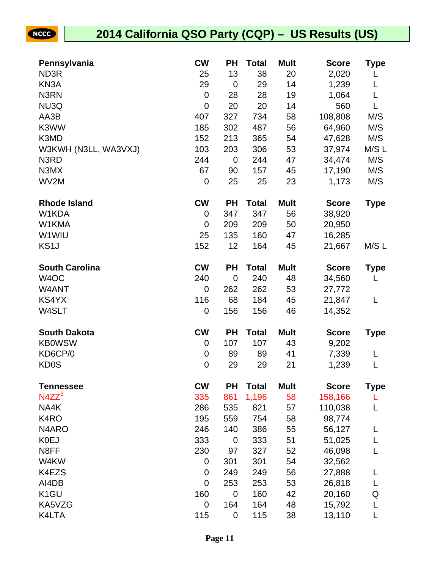| Pennsylvania          | <b>CW</b> | <b>PH</b>      | <b>Total</b> | <b>Mult</b> | <b>Score</b> | Type        |
|-----------------------|-----------|----------------|--------------|-------------|--------------|-------------|
| ND3R                  | 25        | 13             | 38           | 20          | 2,020        |             |
| KN <sub>3</sub> A     | 29        | $\mathbf 0$    | 29           | 14          | 1,239        | L           |
| N3RN                  | 0         | 28             | 28           | 19          | 1,064        | L           |
| NU3Q                  | 0         | 20             | 20           | 14          | 560          | L           |
| AA3B                  | 407       | 327            | 734          | 58          | 108,808      | M/S         |
| K3WW                  | 185       | 302            | 487          | 56          | 64,960       | M/S         |
| K3MD                  | 152       | 213            | 365          | 54          | 47,628       | M/S         |
| W3KWH (N3LL, WA3VXJ)  | 103       | 203            | 306          | 53          | 37,974       | M/SL        |
| N3RD                  | 244       | $\mathbf 0$    | 244          | 47          | 34,474       | M/S         |
| N3MX                  | 67        | 90             | 157          | 45          | 17,190       | M/S         |
| WV2M                  | 0         | 25             | 25           | 23          | 1,173        | M/S         |
| <b>Rhode Island</b>   | <b>CW</b> | <b>PH</b>      | <b>Total</b> | <b>Mult</b> | <b>Score</b> | <b>Type</b> |
| W1KDA                 | 0         | 347            | 347          | 56          | 38,920       |             |
| W1KMA                 | 0         | 209            | 209          | 50          | 20,950       |             |
| W1WIU                 | 25        | 135            | 160          | 47          | 16,285       |             |
| KS <sub>1</sub> J     | 152       | 12             | 164          | 45          | 21,667       | M/SL        |
| <b>South Carolina</b> | <b>CW</b> | <b>PH</b>      | <b>Total</b> | <b>Mult</b> | <b>Score</b> | <b>Type</b> |
| W <sub>4</sub> OC     | 240       | $\overline{0}$ | 240          | 48          | 34,560       | L           |
| W4ANT                 | 0         | 262            | 262          | 53          | 27,772       |             |
| KS4YX                 | 116       | 68             | 184          | 45          | 21,847       | L           |
| W4SLT                 | 0         | 156            | 156          | 46          | 14,352       |             |
| <b>South Dakota</b>   | <b>CW</b> | <b>PH</b>      | <b>Total</b> | <b>Mult</b> | <b>Score</b> | Type        |
| <b>KB0WSW</b>         | 0         | 107            | 107          | 43          | 9,202        |             |
| KD6CP/0               | 0         | 89             | 89           | 41          | 7,339        | L           |
| <b>KD0S</b>           | $\pmb{0}$ | 29             | 29           | 21          | 1,239        | L           |
| <b>Tennessee</b>      | <b>CW</b> | <b>PH</b>      | <b>Total</b> | <b>Mult</b> | <b>Score</b> | Type        |
| $N4ZZ^3$              | 335       | 861            | 1,196        | 58          | 158,166      |             |
| NA4K                  | 286       | 535            | 821          | 57          | 110,038      |             |
| K4RO                  | 195       | 559            | 754          | 58          | 98,774       |             |
| N <sub>4</sub> ARO    | 246       | 140            | 386          | 55          | 56,127       | L           |
| <b>K0EJ</b>           | 333       | 0              | 333          | 51          | 51,025       | L           |
| N8FF                  | 230       | 97             | 327          | 52          | 46,098       |             |
| W4KW                  | 0         | 301            | 301          | 54          | 32,562       |             |
| K4EZS                 | 0         | 249            | 249          | 56          | 27,888       |             |
| AI4DB                 | 0         | 253            | 253          | 53          | 26,818       | L           |
| K <sub>1</sub> GU     | 160       | $\mathbf 0$    | 160          | 42          | 20,160       | Q           |
| KA5VZG                | 0         | 164            | 164          | 48          | 15,792       | L           |
| K4LTA                 | 115       | $\mathbf 0$    | 115          | 38          | 13,110       | L           |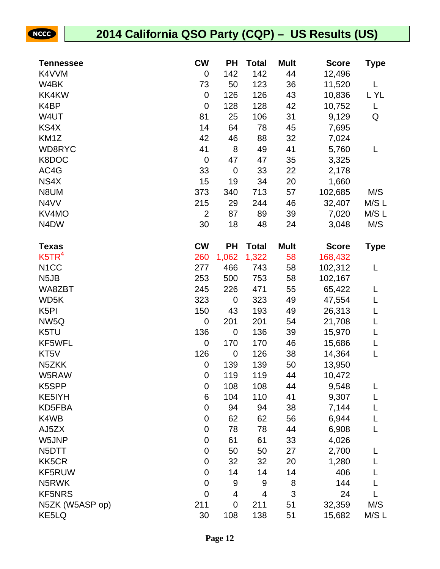| <b>Tennessee</b>              | <b>CW</b>        | <b>PH</b>   | <b>Total</b>   | <b>Mult</b> | <b>Score</b> | <b>Type</b> |
|-------------------------------|------------------|-------------|----------------|-------------|--------------|-------------|
| K4VVM                         | 0                | 142         | 142            | 44          | 12,496       |             |
| W4BK                          | 73               | 50          | 123            | 36          | 11,520       | L           |
| <b>KK4KW</b>                  | $\boldsymbol{0}$ | 126         | 126            | 43          | 10,836       | L YL        |
| K4BP                          | $\boldsymbol{0}$ | 128         | 128            | 42          | 10,752       | L           |
| W4UT                          | 81               | 25          | 106            | 31          | 9,129        | Q           |
| KS4X                          | 14               | 64          | 78             | 45          | 7,695        |             |
| KM1Z                          | 42               | 46          | 88             | 32          | 7,024        |             |
| WD8RYC                        | 41               | 8           | 49             | 41          | 5,760        | L           |
| K8DOC                         | $\mathbf 0$      | 47          | 47             | 35          | 3,325        |             |
| AC4G                          | 33               | $\mathbf 0$ | 33             | 22          | 2,178        |             |
| NS4X                          | 15               | 19          | 34             | 20          | 1,660        |             |
| N8UM                          | 373              | 340         | 713            | 57          | 102,685      | M/S         |
| N4VV                          | 215              | 29          | 244            | 46          | 32,407       | M/S L       |
| KV4MO                         | $\overline{2}$   | 87          | 89             | 39          | 7,020        | M/S L       |
| N <sub>4</sub> D <sub>W</sub> | 30               | 18          | 48             | 24          | 3,048        | M/S         |
| <b>Texas</b>                  | <b>CW</b>        | <b>PH</b>   | <b>Total</b>   | <b>Mult</b> | <b>Score</b> | <b>Type</b> |
| K5TR <sup>4</sup>             | 260              | 1,062       | 1,322          | 58          | 168,432      |             |
| N <sub>1</sub> CC             | 277              | 466         | 743            | 58          | 102,312      | L           |
| N <sub>5</sub> JB             | 253              | 500         | 753            | 58          | 102,167      |             |
| WA8ZBT                        | 245              | 226         | 471            | 55          | 65,422       | L           |
| WD5K                          | 323              | $\mathbf 0$ | 323            | 49          | 47,554       | L           |
| K <sub>5</sub> PI             | 150              | 43          | 193            | 49          | 26,313       | L           |
| NW <sub>5</sub> Q             | $\mathbf 0$      | 201         | 201            | 54          | 21,708       | L           |
| K5TU                          | 136              | $\mathbf 0$ | 136            | 39          | 15,970       | L           |
| KF5WFL                        | $\mathbf 0$      | 170         | 170            | 46          | 15,686       | L           |
| KT5V                          | 126              | $\mathbf 0$ | 126            | 38          | 14,364       | L           |
| N5ZKK                         | $\boldsymbol{0}$ | 139         | 139            | 50          | 13,950       |             |
| W5RAW                         | $\boldsymbol{0}$ | 119         | 119            | 44          | 10,472       |             |
| K5SPP                         | 0                | 108         | 108            | 44          | 9,548        | L           |
| KE5IYH                        | 6                | 104         | 110            | 41          | 9,307        | L           |
| KD5FBA                        | 0                | 94          | 94             | 38          | 7,144        | L           |
| K4WB                          | 0                | 62          | 62             | 56          | 6,944        | L           |
| AJ5ZX                         | 0                | 78          | 78             | 44          | 6,908        | L           |
| W5JNP                         | 0                | 61          | 61             | 33          | 4,026        |             |
| N <sub>5</sub> DTT            | $\boldsymbol{0}$ | 50          | 50             | 27          | 2,700        | L           |
| KK5CR                         | 0                | 32          | 32             | 20          | 1,280        |             |
| KF5RUW                        | 0                | 14          | 14             | 14          | 406          |             |
| N5RWK                         | 0                | 9           | 9              | 8           | 144          |             |
| <b>KF5NRS</b>                 | $\mathbf 0$      | 4           | $\overline{4}$ | 3           | 24           |             |
| N5ZK (W5ASP op)               | 211              | $\mathbf 0$ | 211            | 51          | 32,359       | M/S         |
| KE5LQ                         | 30               | 108         | 138            | 51          | 15,682       | M/S L       |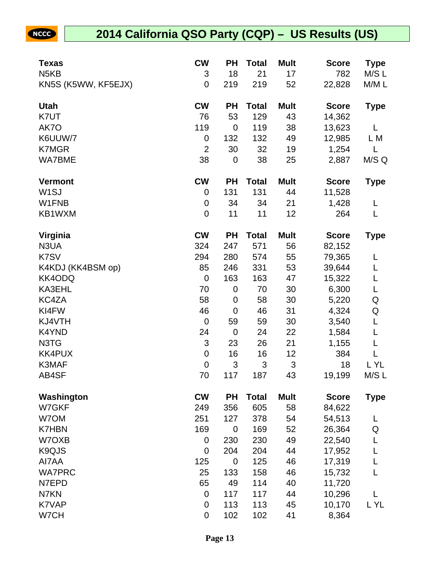| Texas                         | <b>CW</b>        | <b>PH</b>   | <b>Total</b> | <b>Mult</b>               | <b>Score</b> | <b>Type</b> |
|-------------------------------|------------------|-------------|--------------|---------------------------|--------------|-------------|
| N <sub>5</sub> K <sub>B</sub> | 3                | 18          | 21           | 17                        | 782          | M/S L       |
| KN5S (K5WW, KF5EJX)           | $\mathbf 0$      | 219         | 219          | 52                        | 22,828       | M/M L       |
| <b>Utah</b>                   | <b>CW</b>        | <b>PH</b>   | <b>Total</b> | <b>Mult</b>               | <b>Score</b> | <b>Type</b> |
| K7UT                          | 76               | 53          | 129          | 43                        | 14,362       |             |
| AK7O                          | 119              | $\mathbf 0$ | 119          | 38                        | 13,623       | L           |
| K6UUW/7                       | 0                | 132         | 132          | 49                        | 12,985       | L M         |
| <b>K7MGR</b>                  | $\overline{2}$   | 30          | 32           | 19                        | 1,254        | L           |
| <b>WA7BME</b>                 | 38               | $\mathbf 0$ | 38           | 25                        | 2,887        | M/S Q       |
| <b>Vermont</b>                | <b>CW</b>        | <b>PH</b>   | <b>Total</b> | <b>Mult</b>               | <b>Score</b> | <b>Type</b> |
| W <sub>1</sub> SJ             | 0                | 131         | 131          | 44                        | 11,528       |             |
| W1FNB                         | 0                | 34          | 34           | 21                        | 1,428        | L           |
| KB1WXM                        | $\mathbf 0$      | 11          | 11           | 12                        | 264          | L           |
| Virginia                      | <b>CW</b>        | <b>PH</b>   | <b>Total</b> | <b>Mult</b>               | <b>Score</b> | <b>Type</b> |
| N3UA                          | 324              | 247         | 571          | 56                        | 82,152       |             |
| K7SV                          | 294              | 280         | 574          | 55                        | 79,365       | L           |
| K4KDJ (KK4BSM op)             | 85               | 246         | 331          | 53                        | 39,644       | L           |
| KK4ODQ                        | $\mathbf 0$      | 163         | 163          | 47                        | 15,322       | L           |
| KA3EHL                        | 70               | $\mathbf 0$ | 70           | 30                        | 6,300        | L           |
| KC4ZA                         | 58               | $\mathbf 0$ | 58           | 30                        | 5,220        | Q           |
| KI4FW                         | 46               | $\mathbf 0$ | 46           | 31                        | 4,324        | Q           |
| KJ4VTH                        | $\mathbf 0$      | 59          | 59           | 30                        | 3,540        | L           |
| K4YND                         | 24               | $\mathbf 0$ | 24           | 22                        | 1,584        | L           |
| N3TG                          | 3                | 23          | 26           | 21                        | 1,155        | L           |
| <b>KK4PUX</b>                 | $\pmb{0}$        | 16          | 16           | 12                        | 384          | L           |
| K3MAF                         | $\boldsymbol{0}$ | 3           | 3            | $\ensuremath{\mathsf{3}}$ | 18           | L YL        |
| AB4SF                         | 70               | 117         | 187          | 43                        | 19,199       | M/SL        |
| Washington                    | <b>CW</b>        | <b>PH</b>   | <b>Total</b> | <b>Mult</b>               | <b>Score</b> | <b>Type</b> |
| W7GKF                         | 249              | 356         | 605          | 58                        | 84,622       |             |
| W7OM                          | 251              | 127         | 378          | 54                        | 54,513       | L           |
| <b>K7HBN</b>                  | 169              | $\mathbf 0$ | 169          | 52                        | 26,364       | Q           |
| W7OXB                         | 0                | 230         | 230          | 49                        | 22,540       | L           |
| K9QJS                         | $\mathbf 0$      | 204         | 204          | 44                        | 17,952       | L           |
| AI7AA                         | 125              | $\mathbf 0$ | 125          | 46                        | 17,319       | L           |
| <b>WA7PRC</b>                 | 25               | 133         | 158          | 46                        | 15,732       | L           |
| N7EPD                         | 65               | 49          | 114          | 40                        | 11,720       |             |
| N7KN                          | $\boldsymbol{0}$ | 117         | 117          | 44                        | 10,296       | L           |
| K7VAP                         | 0                | 113         | 113          | 45                        | 10,170       | L YL        |
| W7CH                          | $\mathbf 0$      | 102         | 102          | 41                        | 8,364        |             |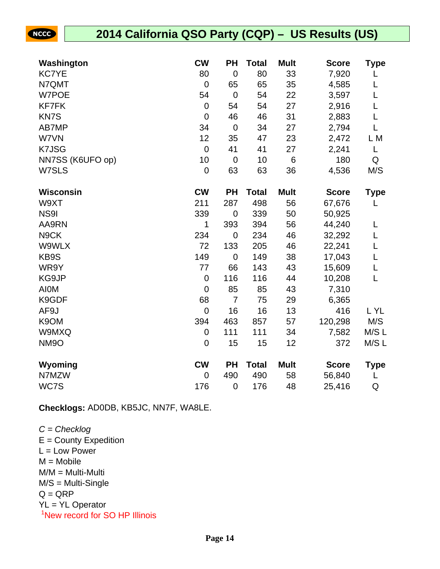#### **2014 California QSO Party (CQP) – US Results (US)**

| Washington       | <b>CW</b>        | <b>PH</b>      | <b>Total</b> | <b>Mult</b> | <b>Score</b> | Type        |
|------------------|------------------|----------------|--------------|-------------|--------------|-------------|
| <b>KC7YE</b>     | 80               | $\mathbf 0$    | 80           | 33          | 7,920        |             |
| N7QMT            | $\mathbf 0$      | 65             | 65           | 35          | 4,585        |             |
| W7POE            | 54               | $\mathbf 0$    | 54           | 22          | 3,597        | L           |
| <b>KF7FK</b>     | $\mathbf 0$      | 54             | 54           | 27          | 2,916        | L           |
| <b>KN7S</b>      | $\mathbf 0$      | 46             | 46           | 31          | 2,883        | L           |
| AB7MP            | 34               | $\mathbf 0$    | 34           | 27          | 2,794        | L           |
| W7VN             | 12               | 35             | 47           | 23          | 2,472        | L M         |
| <b>K7JSG</b>     | $\boldsymbol{0}$ | 41             | 41           | 27          | 2,241        | L           |
| NN7SS (K6UFO op) | 10               | $\mathbf 0$    | 10           | $\,6$       | 180          | Q           |
| W7SLS            | $\mathbf 0$      | 63             | 63           | 36          | 4,536        | M/S         |
| <b>Wisconsin</b> | <b>CW</b>        | <b>PH</b>      | <b>Total</b> | <b>Mult</b> | <b>Score</b> | <b>Type</b> |
| W9XT             | 211              | 287            | 498          | 56          | 67,676       | L           |
| <b>NS91</b>      | 339              | $\mathbf 0$    | 339          | 50          | 50,925       |             |
| AA9RN            | 1                | 393            | 394          | 56          | 44,240       | L           |
| N9CK             | 234              | $\mathbf 0$    | 234          | 46          | 32,292       | L           |
| W9WLX            | 72               | 133            | 205          | 46          | 22,241       | L           |
| KB9S             | 149              | $\mathbf 0$    | 149          | 38          | 17,043       | L           |
| WR9Y             | 77               | 66             | 143          | 43          | 15,609       | L           |
| KG9JP            | $\mathbf 0$      | 116            | 116          | 44          | 10,208       | L           |
| <b>AIOM</b>      | $\mathbf 0$      | 85             | 85           | 43          | 7,310        |             |
| K9GDF            | 68               | $\overline{7}$ | 75           | 29          | 6,365        |             |
| AF9J             | $\mathbf 0$      | 16             | 16           | 13          | 416          | L YL        |
| K9OM             | 394              | 463            | 857          | 57          | 120,298      | M/S         |
| W9MXQ            | 0                | 111            | 111          | 34          | 7,582        | M/S L       |
| <b>NM9O</b>      | $\mathbf 0$      | 15             | 15           | 12          | 372          | M/SL        |
| Wyoming          | <b>CW</b>        | <b>PH</b>      | <b>Total</b> | <b>Mult</b> | <b>Score</b> | Type        |
| N7MZW            | $\mathbf 0$      | 490            | 490          | 58          | 56,840       | L           |
| WC7S             | 176              | $\mathbf 0$    | 176          | 48          | 25,416       | Q           |

**Checklogs:** AD0DB, KB5JC, NN7F, WA8LE.

 $C =$ Checklog  $E =$  County Expedition  $L = Low Power$  $M = Mobile$ M/M = Multi-Multi M/S = Multi-Single  $Q = QRP$ YL = YL Operator <sup>1</sup>New record for SO HP Illinois